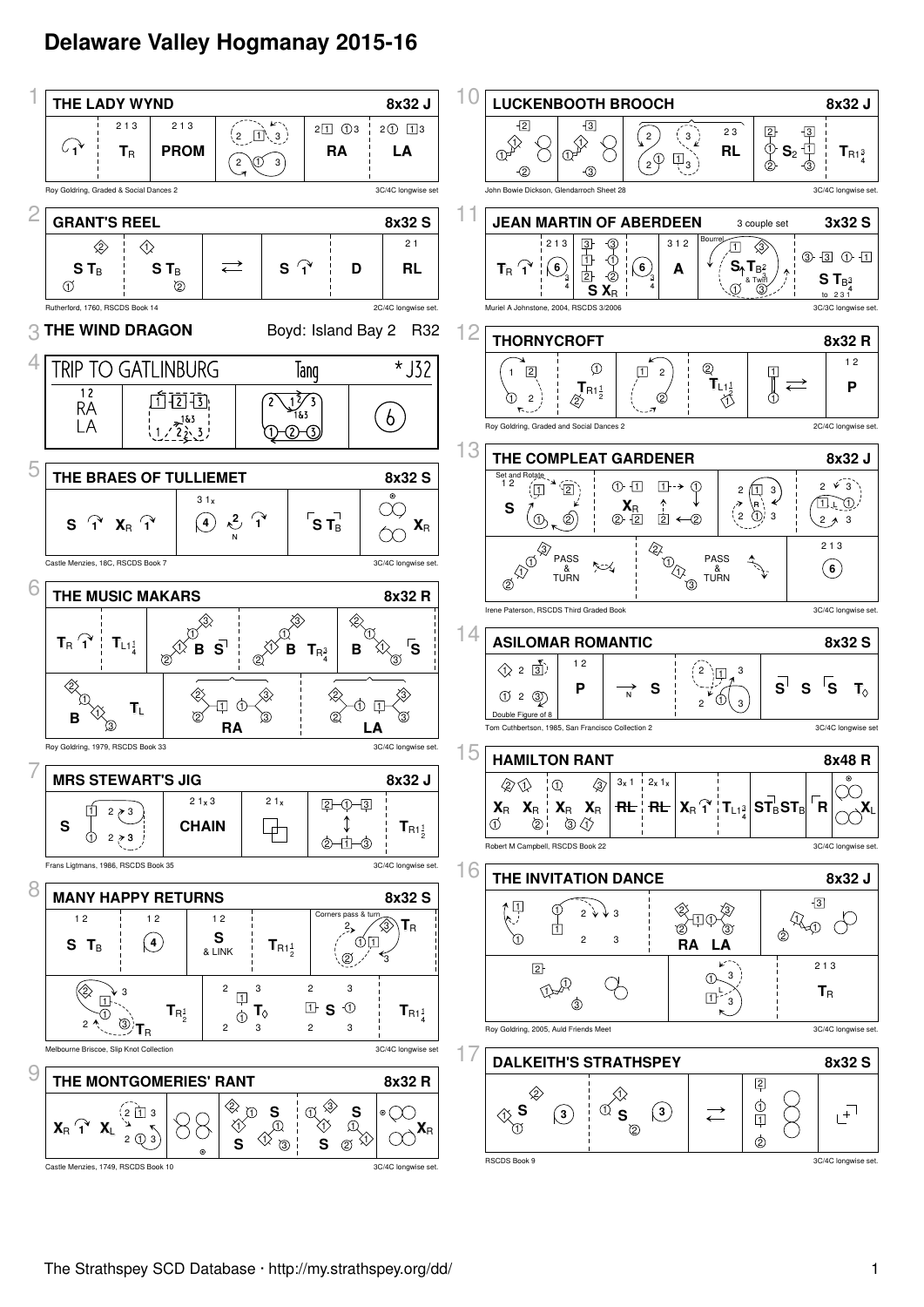## **Delaware Valley Hogmanay 2015-16**